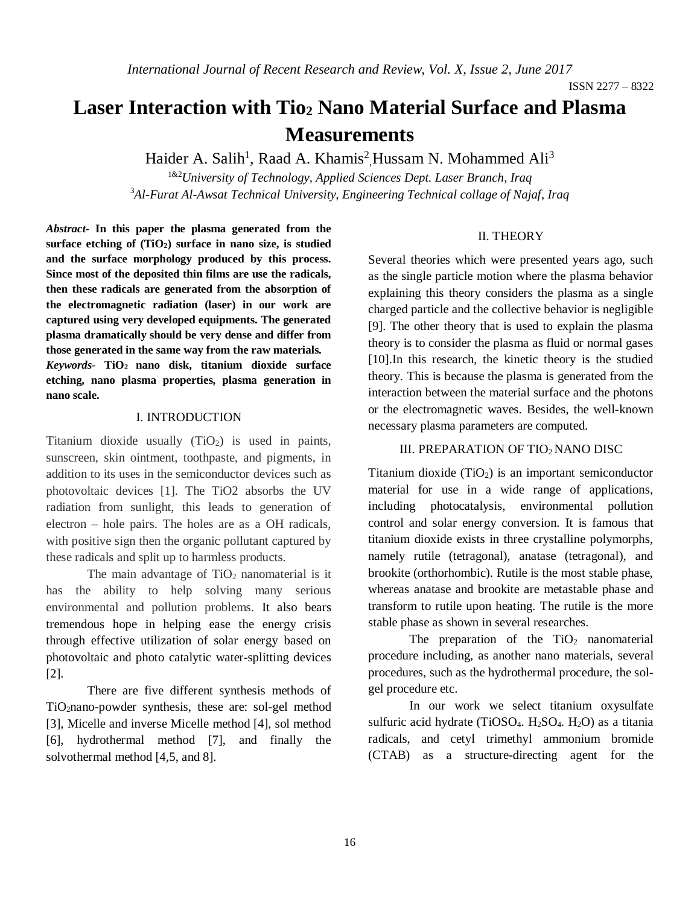# **Laser Interaction with Tio<sup>2</sup> Nano Material Surface and Plasma Measurements**

Haider A. Salih<sup>1</sup>, Raad A. Khamis<sup>2</sup>, Hussam N. Mohammed Ali<sup>3</sup>

1&2*University of Technology, Applied Sciences Dept. Laser Branch, Iraq* <sup>3</sup>*Al-Furat Al-Awsat Technical University, Engineering Technical collage of Najaf, Iraq*

## II. THEORY

*Abstract-* **In this paper the plasma generated from the surface etching of (TiO2) surface in nano size, is studied and the surface morphology produced by this process. Since most of the deposited thin films are use the radicals, then these radicals are generated from the absorption of the electromagnetic radiation (laser) in our work are captured using very developed equipments. The generated plasma dramatically should be very dense and differ from those generated in the same way from the raw materials.** 

*Keywords-* **TiO<sup>2</sup> nano disk, titanium dioxide surface etching, nano plasma properties, plasma generation in nano scale.** 

## I. INTRODUCTION

Titanium dioxide usually  $(TiO<sub>2</sub>)$  is used in paints, sunscreen, skin ointment, toothpaste, and pigments, in addition to its uses in the semiconductor devices such as photovoltaic devices [1]. The TiO2 absorbs the UV radiation from sunlight, this leads to generation of electron – hole pairs. The holes are as a OH radicals, with positive sign then the organic pollutant captured by these radicals and split up to harmless products.

The main advantage of  $TiO<sub>2</sub>$  nanomaterial is it has the ability to help solving many serious environmental and pollution problems. It also bears tremendous hope in helping ease the energy crisis through effective utilization of solar energy based on photovoltaic and photo catalytic water-splitting devices [2].

There are five different synthesis methods of TiO2nano-powder synthesis, these are: sol-gel method [3], Micelle and inverse Micelle method [4], sol method [6], hydrothermal method [7], and finally the solvothermal method [4,5, and 8].

Several theories which were presented years ago, such as the single particle motion where the plasma behavior explaining this theory considers the plasma as a single charged particle and the collective behavior is negligible [9]. The other theory that is used to explain the plasma theory is to consider the plasma as fluid or normal gases [10].In this research, the kinetic theory is the studied theory. This is because the plasma is generated from the interaction between the material surface and the photons or the electromagnetic waves. Besides, the well-known necessary plasma parameters are computed.

# III. PREPARATION OF TIO2NANO DISC

Titanium dioxide  $(TiO<sub>2</sub>)$  is an important semiconductor material for use in a wide range of applications, including photocatalysis, environmental pollution control and solar energy conversion. It is famous that titanium dioxide exists in three crystalline polymorphs, namely rutile (tetragonal), anatase (tetragonal), and brookite (orthorhombic). Rutile is the most stable phase, whereas anatase and brookite are metastable phase and transform to rutile upon heating. The rutile is the more stable phase as shown in several researches.

The preparation of the  $TiO<sub>2</sub>$  nanomaterial procedure including, as another nano materials, several procedures, such as the hydrothermal procedure, the solgel procedure etc.

In our work we select titanium oxysulfate sulfuric acid hydrate (TiOSO<sub>4</sub>. H<sub>2</sub>SO<sub>4</sub>. H<sub>2</sub>O) as a titania radicals, and cetyl trimethyl ammonium bromide (CTAB) as a structure-directing agent for the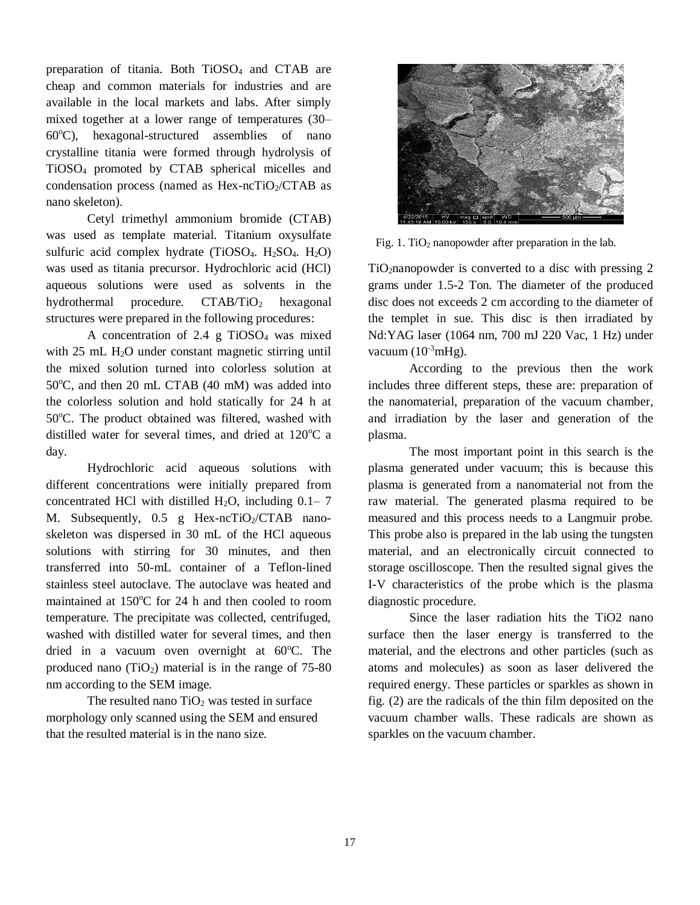preparation of titania. Both TiOSO<sup>4</sup> and CTAB are cheap and common materials for industries and are available in the local markets and labs. After simply mixed together at a lower range of temperatures (30–  $60^{\circ}$ C), hexagonal-structured assemblies of nano crystalline titania were formed through hydrolysis of TiOSO<sup>4</sup> promoted by CTAB spherical micelles and condensation process (named as  $Hex-ncTiO<sub>2</sub>/CTAB$  as nano skeleton).

Cetyl trimethyl ammonium bromide (CTAB) was used as template material. Titanium oxysulfate sulfuric acid complex hydrate  $(TiOSO<sub>4</sub>, H<sub>2</sub>SO<sub>4</sub>, H<sub>2</sub>O)$ was used as titania precursor. Hydrochloric acid (HCl) aqueous solutions were used as solvents in the hydrothermal procedure.  $CTAB/TiO<sub>2</sub>$  hexagonal structures were prepared in the following procedures:

A concentration of  $2.4 \text{ g TiOSO}_4$  was mixed with 25 mL H<sub>2</sub>O under constant magnetic stirring until the mixed solution turned into colorless solution at  $50^{\circ}$ C, and then 20 mL CTAB (40 mM) was added into the colorless solution and hold statically for 24 h at 50°C. The product obtained was filtered, washed with distilled water for several times, and dried at  $120^{\circ}$ C a day.

Hydrochloric acid aqueous solutions with different concentrations were initially prepared from concentrated HCl with distilled  $H_2O$ , including  $0.1-7$ M. Subsequently,  $0.5$  g Hex-ncTiO<sub>2</sub>/CTAB nanoskeleton was dispersed in 30 mL of the HCl aqueous solutions with stirring for 30 minutes, and then transferred into 50-mL container of a Teflon-lined stainless steel autoclave. The autoclave was heated and maintained at  $150^{\circ}$ C for 24 h and then cooled to room temperature. The precipitate was collected, centrifuged, washed with distilled water for several times, and then dried in a vacuum oven overnight at  $60^{\circ}$ C. The produced nano  $(TiO<sub>2</sub>)$  material is in the range of 75-80 nm according to the SEM image.

The resulted nano  $TiO<sub>2</sub>$  was tested in surface morphology only scanned using the SEM and ensured that the resulted material is in the nano size.



Fig. 1. TiO<sub>2</sub> nanopowder after preparation in the lab.

TiO2nanopowder is converted to a disc with pressing 2 grams under 1.5-2 Ton. The diameter of the produced disc does not exceeds 2 cm according to the diameter of the templet in sue. This disc is then irradiated by Nd:YAG laser (1064 nm, 700 mJ 220 Vac, 1 Hz) under vacuum  $(10^{-3} \text{mHg})$ .

According to the previous then the work includes three different steps, these are: preparation of the nanomaterial, preparation of the vacuum chamber, and irradiation by the laser and generation of the plasma.

The most important point in this search is the plasma generated under vacuum; this is because this plasma is generated from a nanomaterial not from the raw material. The generated plasma required to be measured and this process needs to a Langmuir probe. This probe also is prepared in the lab using the tungsten material, and an electronically circuit connected to storage oscilloscope. Then the resulted signal gives the I-V characteristics of the probe which is the plasma diagnostic procedure.

Since the laser radiation hits the TiO2 nano surface then the laser energy is transferred to the material, and the electrons and other particles (such as atoms and molecules) as soon as laser delivered the required energy. These particles or sparkles as shown in fig. (2) are the radicals of the thin film deposited on the vacuum chamber walls. These radicals are shown as sparkles on the vacuum chamber.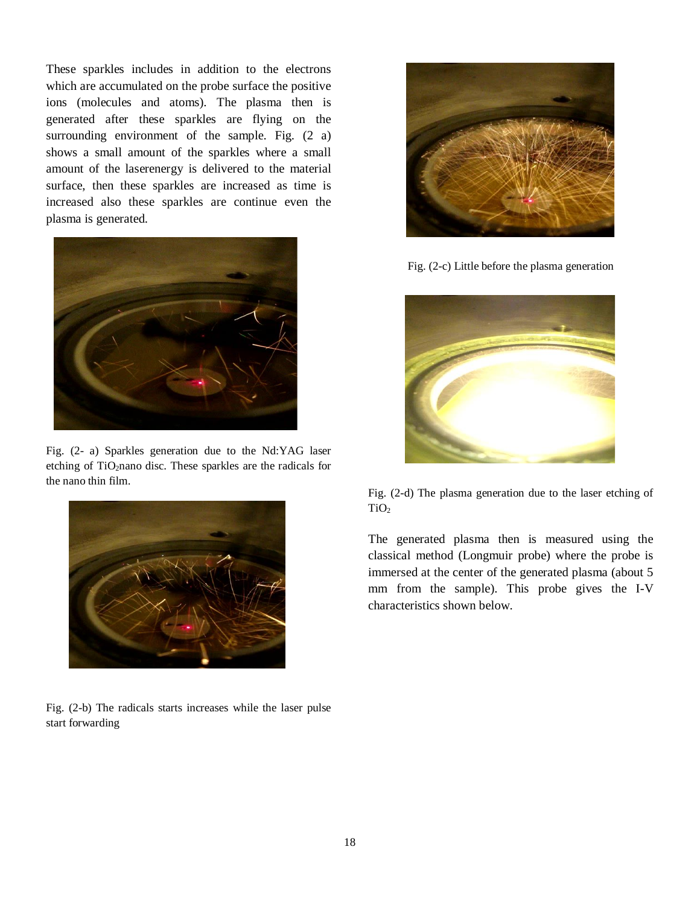These sparkles includes in addition to the electrons which are accumulated on the probe surface the positive ions (molecules and atoms). The plasma then is generated after these sparkles are flying on the surrounding environment of the sample. Fig.  $(2 \text{ a})$ shows a small amount of the sparkles where a small amount of the laserenergy is delivered to the material surface, then these sparkles are increased as time is increased also these sparkles are continue even the plasma is generated.



Fig. (2- a) Sparkles generation due to the Nd:YAG laser etching of TiO<sub>2</sub>nano disc. These sparkles are the radicals for the nano thin film.



Fig. (2-b) The radicals starts increases while the laser pulse start forwarding



Fig. (2-c) Little before the plasma generation



Fig. (2-d) The plasma generation due to the laser etching of TiO<sup>2</sup>

The generated plasma then is measured using the classical method (Longmuir probe) where the probe is immersed at the center of the generated plasma (about 5 mm from the sample). This probe gives the I-V characteristics shown below.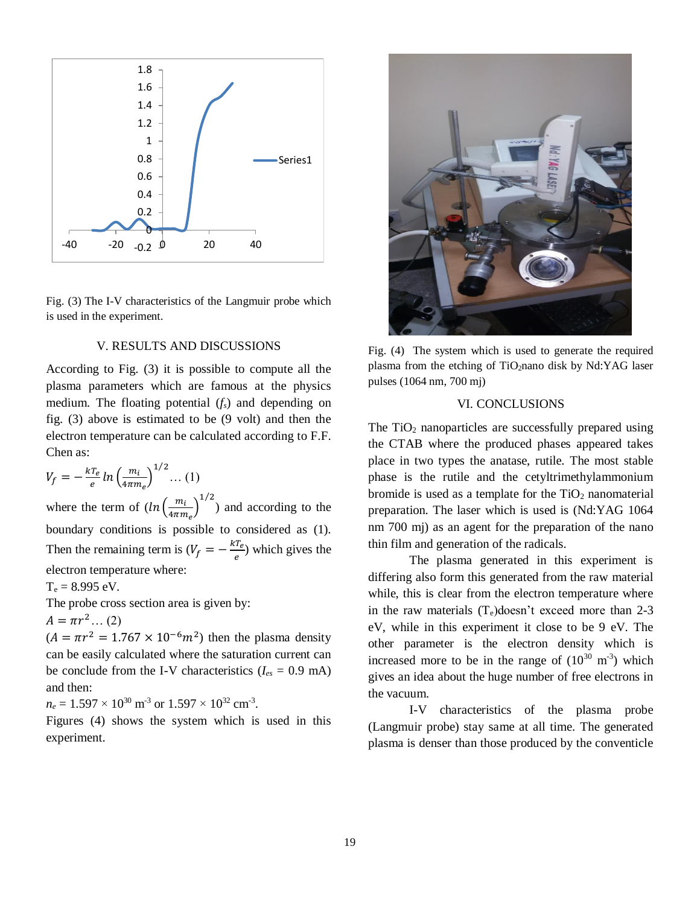

Fig. (3) The I-V characteristics of the Langmuir probe which is used in the experiment.

# V. RESULTS AND DISCUSSIONS

According to Fig. (3) it is possible to compute all the plasma parameters which are famous at the physics medium. The floating potential (*fs*) and depending on fig. (3) above is estimated to be (9 volt) and then the electron temperature can be calculated according to F.F. Chen as:

$$
V_f = -\frac{kT_e}{e} \ln \left(\frac{m_i}{4\pi m_e}\right)^{1/2} \dots (1)
$$

where the term of  $(ln\left(\frac{m_i}{1-\epsilon}\right))$  $\left(\frac{m_i}{4\pi m_e}\right)^{1/2}$  and according to the boundary conditions is possible to considered as (1). Then the remaining term is  $(V_f = -\frac{kT_e}{g})$  $\frac{I_e}{e}$ ) which gives the electron temperature where:

 $T_e = 8.995 \text{ eV}.$ 

The probe cross section area is given by:

$$
A = \pi r^2 \dots (2)
$$

 $(A = \pi r^2 = 1.767 \times 10^{-6} m^2)$  then the plasma density can be easily calculated where the saturation current can be conclude from the I-V characteristics ( $I_{es} = 0.9$  mA) and then:

 $n_e = 1.597 \times 10^{30} \text{ m}^3 \text{ or } 1.597 \times 10^{32} \text{ cm}^3.$ 

Figures (4) shows the system which is used in this experiment.



Fig. (4) The system which is used to generate the required plasma from the etching of TiO<sub>2</sub>nano disk by Nd:YAG laser pulses (1064 nm, 700 mj)

## VI. CONCLUSIONS

The  $TiO<sub>2</sub>$  nanoparticles are successfully prepared using the CTAB where the produced phases appeared takes place in two types the anatase, rutile. The most stable phase is the rutile and the cetyltrimethylammonium bromide is used as a template for the  $TiO<sub>2</sub>$  nanomaterial preparation. The laser which is used is (Nd:YAG 1064 nm 700 mj) as an agent for the preparation of the nano thin film and generation of the radicals.

The plasma generated in this experiment is differing also form this generated from the raw material while, this is clear from the electron temperature where in the raw materials  $(T_e)$ doesn't exceed more than 2-3 eV, while in this experiment it close to be 9 eV. The other parameter is the electron density which is increased more to be in the range of  $(10^{30} \text{ m}^3)$  which gives an idea about the huge number of free electrons in the vacuum.

I-V characteristics of the plasma probe (Langmuir probe) stay same at all time. The generated plasma is denser than those produced by the conventicle